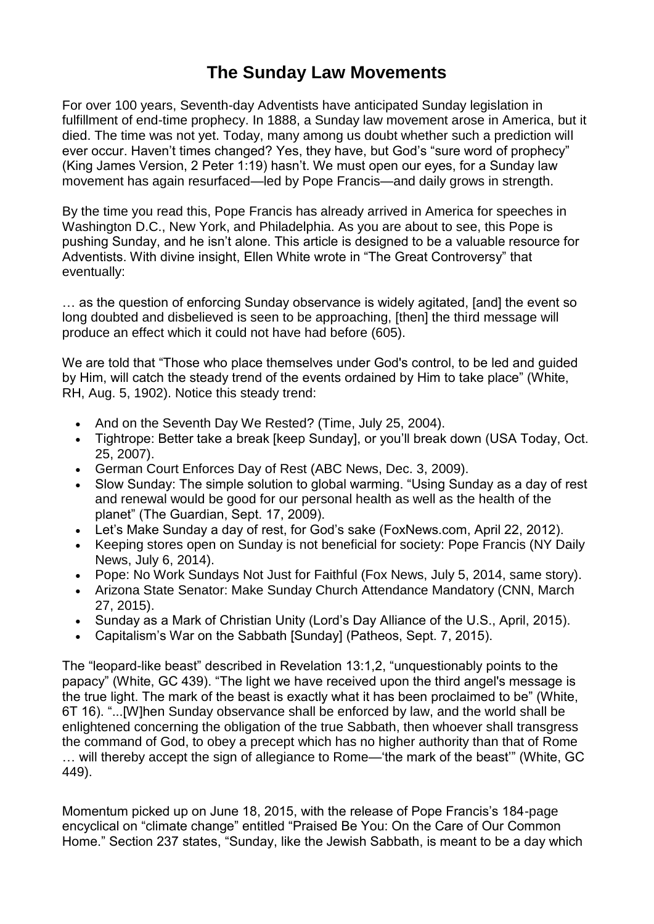## **The Sunday Law Movements**

For over 100 years, Seventh-day Adventists have anticipated Sunday legislation in fulfillment of end-time prophecy. In 1888, a Sunday law movement arose in America, but it died. The time was not yet. Today, many among us doubt whether such a prediction will ever occur. Haven't times changed? Yes, they have, but God's "sure word of prophecy" (King James Version, 2 Peter 1:19) hasn't. We must open our eyes, for a Sunday law movement has again resurfaced—led by Pope Francis—and daily grows in strength.

By the time you read this, Pope Francis has already arrived in America for speeches in Washington D.C., New York, and Philadelphia. As you are about to see, this Pope is pushing Sunday, and he isn't alone. This article is designed to be a valuable resource for Adventists. With divine insight, Ellen White wrote in "The Great Controversy" that eventually:

… as the question of enforcing Sunday observance is widely agitated, [and] the event so long doubted and disbelieved is seen to be approaching, [then] the third message will produce an effect which it could not have had before (605).

We are told that "Those who place themselves under God's control, to be led and guided by Him, will catch the steady trend of the events ordained by Him to take place" (White, RH, Aug. 5, 1902). Notice this steady trend:

- And on the Seventh Day We Rested? (Time, July 25, 2004).
- Tightrope: Better take a break [keep Sunday], or you'll break down (USA Today, Oct. 25, 2007).
- German Court Enforces Day of Rest (ABC News, Dec. 3, 2009).
- Slow Sunday: The simple solution to global warming. "Using Sunday as a day of rest and renewal would be good for our personal health as well as the health of the planet" (The Guardian, Sept. 17, 2009).
- Let's Make Sunday a day of rest, for God's sake (FoxNews.com, April 22, 2012).
- Keeping stores open on Sunday is not beneficial for society: Pope Francis (NY Daily News, July 6, 2014).
- Pope: No Work Sundays Not Just for Faithful (Fox News, July 5, 2014, same story).
- Arizona State Senator: Make Sunday Church Attendance Mandatory (CNN, March 27, 2015).
- Sunday as a Mark of Christian Unity (Lord's Day Alliance of the U.S., April, 2015).
- Capitalism's War on the Sabbath [Sunday] (Patheos, Sept. 7, 2015).

The "leopard-like beast" described in Revelation 13:1,2, "unquestionably points to the papacy" (White, GC 439). "The light we have received upon the third angel's message is the true light. The mark of the beast is exactly what it has been proclaimed to be" (White, 6T 16). "...[W]hen Sunday observance shall be enforced by law, and the world shall be enlightened concerning the obligation of the true Sabbath, then whoever shall transgress the command of God, to obey a precept which has no higher authority than that of Rome

… will thereby accept the sign of allegiance to Rome—'the mark of the beast'" (White, GC 449).

Momentum picked up on June 18, 2015, with the release of Pope Francis's 184-page encyclical on "climate change" entitled "Praised Be You: On the Care of Our Common Home." Section 237 states, "Sunday, like the Jewish Sabbath, is meant to be a day which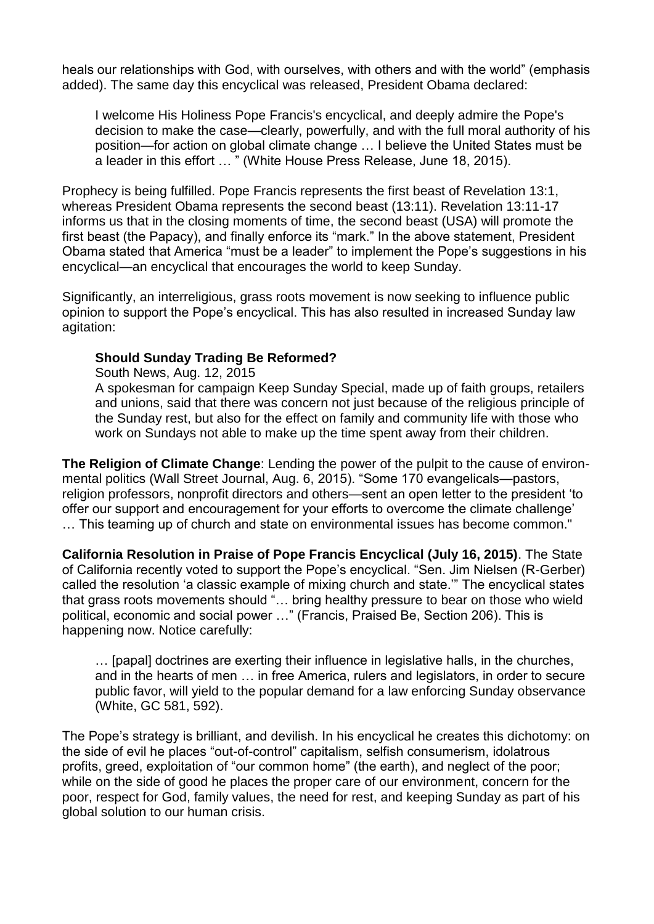heals our relationships with God, with ourselves, with others and with the world" (emphasis added). The same day this encyclical was released, President Obama declared:

I welcome His Holiness Pope Francis's encyclical, and deeply admire the Pope's decision to make the case—clearly, powerfully, and with the full moral authority of his position—for action on global climate change … I believe the United States must be a leader in this effort … " (White House Press Release, June 18, 2015).

Prophecy is being fulfilled. Pope Francis represents the first beast of Revelation 13:1, whereas President Obama represents the second beast (13:11). Revelation 13:11-17 informs us that in the closing moments of time, the second beast (USA) will promote the first beast (the Papacy), and finally enforce its "mark." In the above statement, President Obama stated that America "must be a leader" to implement the Pope's suggestions in his encyclical—an encyclical that encourages the world to keep Sunday.

Significantly, an interreligious, grass roots movement is now seeking to influence public opinion to support the Pope's encyclical. This has also resulted in increased Sunday law agitation:

## **Should Sunday Trading Be Reformed?**

South News, Aug. 12, 2015

A spokesman for campaign Keep Sunday Special, made up of faith groups, retailers and unions, said that there was concern not just because of the religious principle of the Sunday rest, but also for the effect on family and community life with those who work on Sundays not able to make up the time spent away from their children.

**The Religion of Climate Change**: Lending the power of the pulpit to the cause of environmental politics (Wall Street Journal, Aug. 6, 2015). "Some 170 evangelicals—pastors, religion professors, nonprofit directors and others—sent an open letter to the president 'to offer our support and encouragement for your efforts to overcome the climate challenge' … This teaming up of church and state on environmental issues has become common."

**California Resolution in Praise of Pope Francis Encyclical (July 16, 2015)**. The State of California recently voted to support the Pope's encyclical. "Sen. Jim Nielsen (R-Gerber) called the resolution 'a classic example of mixing church and state.'" The encyclical states that grass roots movements should "… bring healthy pressure to bear on those who wield political, economic and social power …" (Francis, Praised Be, Section 206). This is happening now. Notice carefully:

… [papal] doctrines are exerting their influence in legislative halls, in the churches, and in the hearts of men … in free America, rulers and legislators, in order to secure public favor, will yield to the popular demand for a law enforcing Sunday observance (White, GC 581, 592).

The Pope's strategy is brilliant, and devilish. In his encyclical he creates this dichotomy: on the side of evil he places "out-of-control" capitalism, selfish consumerism, idolatrous profits, greed, exploitation of "our common home" (the earth), and neglect of the poor; while on the side of good he places the proper care of our environment, concern for the poor, respect for God, family values, the need for rest, and keeping Sunday as part of his global solution to our human crisis.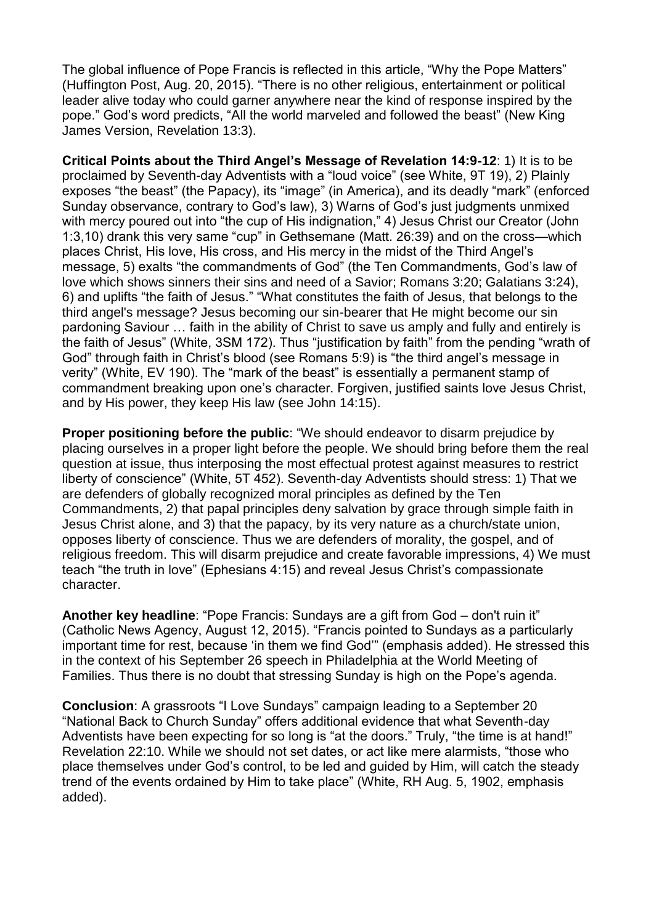The global influence of Pope Francis is reflected in this article, "Why the Pope Matters" (Huffington Post, Aug. 20, 2015). "There is no other religious, entertainment or political leader alive today who could garner anywhere near the kind of response inspired by the pope." God's word predicts, "All the world marveled and followed the beast" (New King James Version, Revelation 13:3).

**Critical Points about the Third Angel's Message of Revelation 14:9-12**: 1) It is to be proclaimed by Seventh-day Adventists with a "loud voice" (see White, 9T 19), 2) Plainly exposes "the beast" (the Papacy), its "image" (in America), and its deadly "mark" (enforced Sunday observance, contrary to God's law), 3) Warns of God's just judgments unmixed with mercy poured out into "the cup of His indignation," 4) Jesus Christ our Creator (John 1:3,10) drank this very same "cup" in Gethsemane (Matt. 26:39) and on the cross—which places Christ, His love, His cross, and His mercy in the midst of the Third Angel's message, 5) exalts "the commandments of God" (the Ten Commandments, God's law of love which shows sinners their sins and need of a Savior; Romans 3:20; Galatians 3:24), 6) and uplifts "the faith of Jesus." "What constitutes the faith of Jesus, that belongs to the third angel's message? Jesus becoming our sin-bearer that He might become our sin pardoning Saviour … faith in the ability of Christ to save us amply and fully and entirely is the faith of Jesus" (White, 3SM 172). Thus "justification by faith" from the pending "wrath of God" through faith in Christ's blood (see Romans 5:9) is "the third angel's message in verity" (White, EV 190). The "mark of the beast" is essentially a permanent stamp of commandment breaking upon one's character. Forgiven, justified saints love Jesus Christ, and by His power, they keep His law (see John 14:15).

**Proper positioning before the public:** "We should endeavor to disarm prejudice by placing ourselves in a proper light before the people. We should bring before them the real question at issue, thus interposing the most effectual protest against measures to restrict liberty of conscience" (White, 5T 452). Seventh-day Adventists should stress: 1) That we are defenders of globally recognized moral principles as defined by the Ten Commandments, 2) that papal principles deny salvation by grace through simple faith in Jesus Christ alone, and 3) that the papacy, by its very nature as a church/state union, opposes liberty of conscience. Thus we are defenders of morality, the gospel, and of religious freedom. This will disarm prejudice and create favorable impressions, 4) We must teach "the truth in love" (Ephesians 4:15) and reveal Jesus Christ's compassionate character.

**Another key headline**: "Pope Francis: Sundays are a gift from God – don't ruin it" (Catholic News Agency, August 12, 2015). "Francis pointed to Sundays as a particularly important time for rest, because 'in them we find God'" (emphasis added). He stressed this in the context of his September 26 speech in Philadelphia at the World Meeting of Families. Thus there is no doubt that stressing Sunday is high on the Pope's agenda.

**Conclusion**: A grassroots "I Love Sundays" campaign leading to a September 20 "National Back to Church Sunday" offers additional evidence that what Seventh-day Adventists have been expecting for so long is "at the doors." Truly, "the time is at hand!" Revelation 22:10. While we should not set dates, or act like mere alarmists, "those who place themselves under God's control, to be led and guided by Him, will catch the steady trend of the events ordained by Him to take place" (White, RH Aug. 5, 1902, emphasis added).